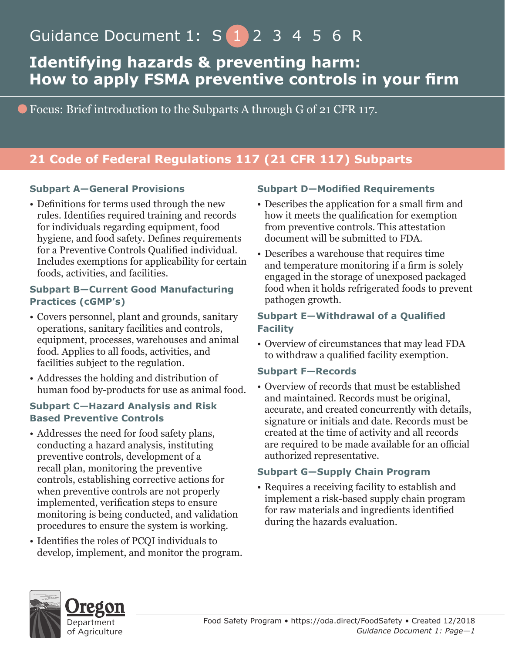# Guidance Document 1: S 1 2 3 4 5 6 R

# **Identifying hazards & preventing harm: How to apply FSMA preventive controls in your firm**

Focus: Brief introduction to the Subparts A through G of 21 CFR 117.

# **21 Code of Federal Regulations 117 (21 CFR 117) Subparts**

#### **Subpart A—General Provisions**

• Definitions for terms used through the new rules. Identifies required training and records for individuals regarding equipment, food hygiene, and food safety. Defines requirements for a Preventive Controls Qualified individual. Includes exemptions for applicability for certain foods, activities, and facilities.

#### **Subpart B—Current Good Manufacturing Practices (cGMP's)**

- Covers personnel, plant and grounds, sanitary operations, sanitary facilities and controls, equipment, processes, warehouses and animal food. Applies to all foods, activities, and facilities subject to the regulation.
- Addresses the holding and distribution of human food by-products for use as animal food.

#### **Subpart C—Hazard Analysis and Risk Based Preventive Controls**

- Addresses the need for food safety plans, conducting a hazard analysis, instituting preventive controls, development of a recall plan, monitoring the preventive controls, establishing corrective actions for when preventive controls are not properly implemented, verification steps to ensure monitoring is being conducted, and validation procedures to ensure the system is working.
- Identifies the roles of PCQI individuals to develop, implement, and monitor the program.

#### **Subpart D—Modified Requirements**

- Describes the application for a small firm and how it meets the qualification for exemption from preventive controls. This attestation document will be submitted to FDA.
- Describes a warehouse that requires time and temperature monitoring if a firm is solely engaged in the storage of unexposed packaged food when it holds refrigerated foods to prevent pathogen growth.

#### **Subpart E—Withdrawal of a Qualified Facility**

• Overview of circumstances that may lead FDA to withdraw a qualified facility exemption.

#### **Subpart F—Records**

• Overview of records that must be established and maintained. Records must be original, accurate, and created concurrently with details, signature or initials and date. Records must be created at the time of activity and all records are required to be made available for an official authorized representative.

#### **Subpart G—Supply Chain Program**

• Requires a receiving facility to establish and implement a risk-based supply chain program for raw materials and ingredients identified during the hazards evaluation.